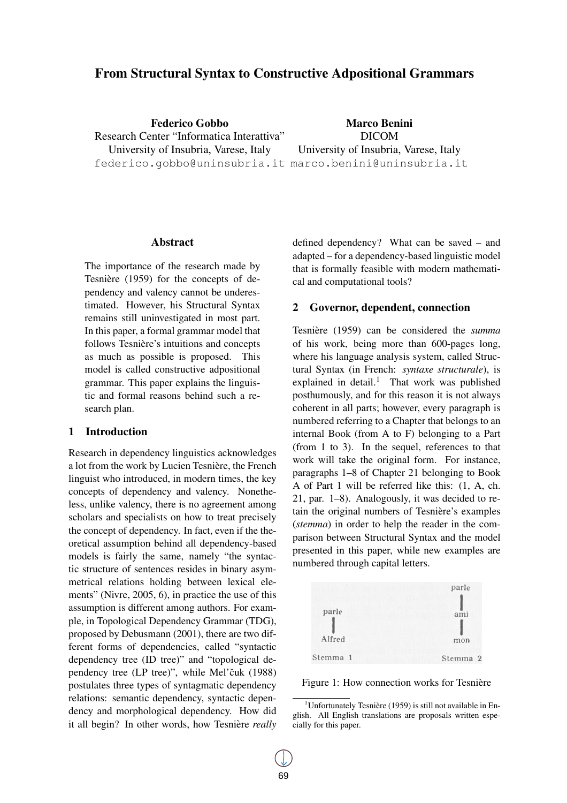# From Structural Syntax to Constructive Adpositional Grammars

Federico Gobbo Research Center "Informatica Interattiva" University of Insubria, Varese, Italy federico.gobbo@uninsubria.it marco.benini@uninsubria.it Marco Benini DICOM University of Insubria, Varese, Italy

### Abstract

The importance of the research made by Tesnière (1959) for the concepts of dependency and valency cannot be underestimated. However, his Structural Syntax remains still uninvestigated in most part. In this paper, a formal grammar model that follows Tesnière's intuitions and concepts as much as possible is proposed. This model is called constructive adpositional grammar. This paper explains the linguistic and formal reasons behind such a research plan.

## 1 Introduction

Research in dependency linguistics acknowledges a lot from the work by Lucien Tesniere, the French ` linguist who introduced, in modern times, the key concepts of dependency and valency. Nonetheless, unlike valency, there is no agreement among scholars and specialists on how to treat precisely the concept of dependency. In fact, even if the theoretical assumption behind all dependency-based models is fairly the same, namely "the syntactic structure of sentences resides in binary asymmetrical relations holding between lexical elements" (Nivre, 2005, 6), in practice the use of this assumption is different among authors. For example, in Topological Dependency Grammar (TDG), proposed by Debusmann (2001), there are two different forms of dependencies, called "syntactic dependency tree (ID tree)" and "topological dependency tree (LP tree)", while Mel'čuk (1988) postulates three types of syntagmatic dependency relations: semantic dependency, syntactic dependency and morphological dependency. How did it all begin? In other words, how Tesnière *really* 

defined dependency? What can be saved – and adapted – for a dependency-based linguistic model that is formally feasible with modern mathematical and computational tools?

## 2 Governor, dependent, connection

Tesnière (1959) can be considered the *summa* of his work, being more than 600-pages long, where his language analysis system, called Structural Syntax (in French: *syntaxe structurale*), is explained in detail.<sup>1</sup> That work was published posthumously, and for this reason it is not always coherent in all parts; however, every paragraph is numbered referring to a Chapter that belongs to an internal Book (from A to F) belonging to a Part (from 1 to 3). In the sequel, references to that work will take the original form. For instance, paragraphs 1–8 of Chapter 21 belonging to Book A of Part 1 will be referred like this: (1, A, ch. 21, par. 1–8). Analogously, it was decided to retain the original numbers of Tesnière's examples (*stemma*) in order to help the reader in the comparison between Structural Syntax and the model presented in this paper, while new examples are numbered through capital letters.



Figure 1: How connection works for Tesnière

<sup>&</sup>lt;sup>1</sup>Unfortunately Tesnière (1959) is still not available in English. All English translations are proposals written especially for this paper.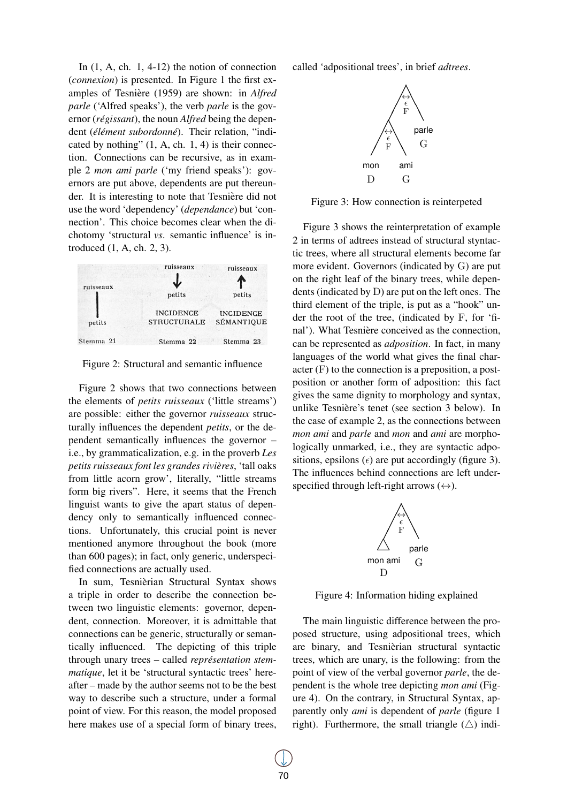In  $(1, A, ch. 1, 4-12)$  the notion of connection (*connexion*) is presented. In Figure 1 the first examples of Tesnière (1959) are shown: in *Alfred parle* ('Alfred speaks'), the verb *parle* is the governor (*régissant*), the noun *Alfred* being the dependent (élément subordonné). Their relation, "indicated by nothing"  $(1, A, ch. 1, 4)$  is their connection. Connections can be recursive, as in example 2 *mon ami parle* ('my friend speaks'): governors are put above, dependents are put thereunder. It is interesting to note that Tesnière did not use the word 'dependency' (*dependance*) but 'connection'. This choice becomes clear when the dichotomy 'structural *vs*. semantic influence' is introduced (1, A, ch. 2, 3).



Figure 2: Structural and semantic influence

Figure 2 shows that two connections between the elements of *petits ruisseaux* ('little streams') are possible: either the governor *ruisseaux* structurally influences the dependent *petits*, or the dependent semantically influences the governor – i.e., by grammaticalization, e.g. in the proverb *Les petits ruisseaux font les grandes rivières, 'tall oaks* from little acorn grow', literally, "little streams form big rivers". Here, it seems that the French linguist wants to give the apart status of dependency only to semantically influenced connections. Unfortunately, this crucial point is never mentioned anymore throughout the book (more than 600 pages); in fact, only generic, underspecified connections are actually used.

In sum, Tesnièrian Structural Syntax shows a triple in order to describe the connection between two linguistic elements: governor, dependent, connection. Moreover, it is admittable that connections can be generic, structurally or semantically influenced. The depicting of this triple through unary trees – called *representation stem- ´ matique*, let it be 'structural syntactic trees' hereafter – made by the author seems not to be the best way to describe such a structure, under a formal point of view. For this reason, the model proposed here makes use of a special form of binary trees,

called 'adpositional trees', in brief *adtrees*.



Figure 3: How connection is reinterpeted

Figure 3 shows the reinterpretation of example 2 in terms of adtrees instead of structural styntactic trees, where all structural elements become far more evident. Governors (indicated by G) are put on the right leaf of the binary trees, while dependents (indicated by D) are put on the left ones. The third element of the triple, is put as a "hook" under the root of the tree, (indicated by F, for 'final'). What Tesnière conceived as the connection, can be represented as *adposition*. In fact, in many languages of the world what gives the final character (F) to the connection is a preposition, a postposition or another form of adposition: this fact gives the same dignity to morphology and syntax, unlike Tesnière's tenet (see section 3 below). In the case of example 2, as the connections between *mon ami* and *parle* and *mon* and *ami* are morphologically unmarked, i.e., they are syntactic adpositions, epsilons  $(\epsilon)$  are put accordingly (figure 3). The influences behind connections are left underspecified through left-right arrows  $(\leftrightarrow)$ .



Figure 4: Information hiding explained

The main linguistic difference between the proposed structure, using adpositional trees, which are binary, and Tesnierian structural syntactic ` trees, which are unary, is the following: from the point of view of the verbal governor *parle*, the dependent is the whole tree depicting *mon ami* (Figure 4). On the contrary, in Structural Syntax, apparently only *ami* is dependent of *parle* (figure 1 right). Furthermore, the small triangle  $(\triangle)$  indi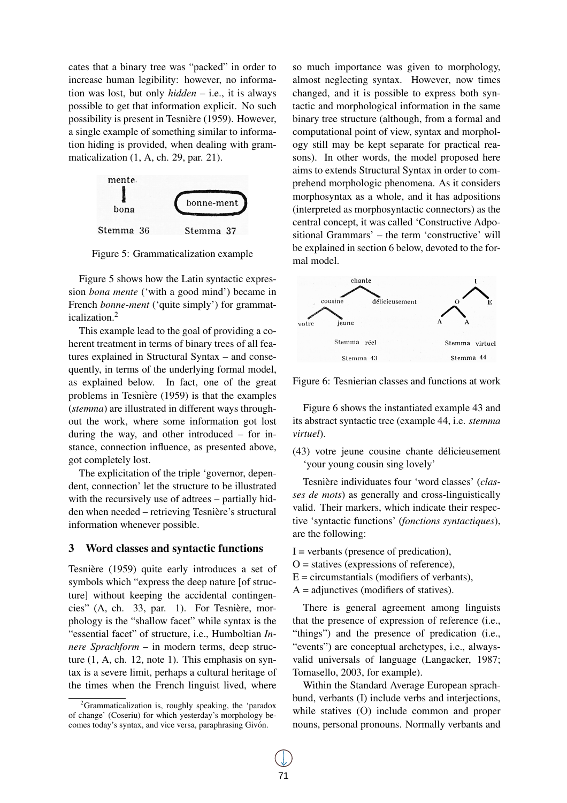cates that a binary tree was "packed" in order to increase human legibility: however, no information was lost, but only *hidden* – i.e., it is always possible to get that information explicit. No such possibility is present in Tesnière (1959). However, a single example of something similar to information hiding is provided, when dealing with grammaticalization (1, A, ch. 29, par. 21).



Figure 5: Grammaticalization example

Figure 5 shows how the Latin syntactic expression *bona mente* ('with a good mind') became in French *bonne-ment* ('quite simply') for grammaticalization.<sup>2</sup>

This example lead to the goal of providing a coherent treatment in terms of binary trees of all features explained in Structural Syntax – and consequently, in terms of the underlying formal model, as explained below. In fact, one of the great problems in Tesnière (1959) is that the examples (*stemma*) are illustrated in different ways throughout the work, where some information got lost during the way, and other introduced – for instance, connection influence, as presented above, got completely lost.

The explicitation of the triple 'governor, dependent, connection' let the structure to be illustrated with the recursively use of adtrees – partially hidden when needed – retrieving Tesniere's structural ` information whenever possible.

#### 3 Word classes and syntactic functions

Tesnière (1959) quite early introduces a set of symbols which "express the deep nature [of structure] without keeping the accidental contingencies" (A, ch. 33, par. 1). For Tesnière, morphology is the "shallow facet" while syntax is the "essential facet" of structure, i.e., Humboltian *Innere Sprachform* – in modern terms, deep structure (1, A, ch. 12, note 1). This emphasis on syntax is a severe limit, perhaps a cultural heritage of the times when the French linguist lived, where so much importance was given to morphology, almost neglecting syntax. However, now times changed, and it is possible to express both syntactic and morphological information in the same binary tree structure (although, from a formal and computational point of view, syntax and morphology still may be kept separate for practical reasons). In other words, the model proposed here aims to extends Structural Syntax in order to comprehend morphologic phenomena. As it considers morphosyntax as a whole, and it has adpositions (interpreted as morphosyntactic connectors) as the central concept, it was called 'Constructive Adpositional Grammars' – the term 'constructive' will be explained in section 6 below, devoted to the formal model.



Figure 6: Tesnierian classes and functions at work

Figure 6 shows the instantiated example 43 and its abstract syntactic tree (example 44, i.e. *stemma virtuel*).

## (43) votre jeune cousine chante delicieusement ´ 'your young cousin sing lovely'

Tesnière individuates four 'word classes' (clas*ses de mots*) as generally and cross-linguistically valid. Their markers, which indicate their respective 'syntactic functions' (*fonctions syntactiques*), are the following:

- $I =$  verbants (presence of predication),
- $O =$  statives (expressions of reference),
- $E =$  circumstantials (modifiers of verbants),
- $A =$ adjunctives (modifiers of statives).

There is general agreement among linguists that the presence of expression of reference (i.e., "things") and the presence of predication (i.e., "events") are conceptual archetypes, i.e., alwaysvalid universals of language (Langacker, 1987; Tomasello, 2003, for example).

Within the Standard Average European sprachbund, verbants (I) include verbs and interjections, while statives (O) include common and proper nouns, personal pronouns. Normally verbants and

 ${}^{2}$ Grammaticalization is, roughly speaking, the 'paradox of change' (Coseriu) for which yesterday's morphology becomes today's syntax, and vice versa, paraphrasing Givón.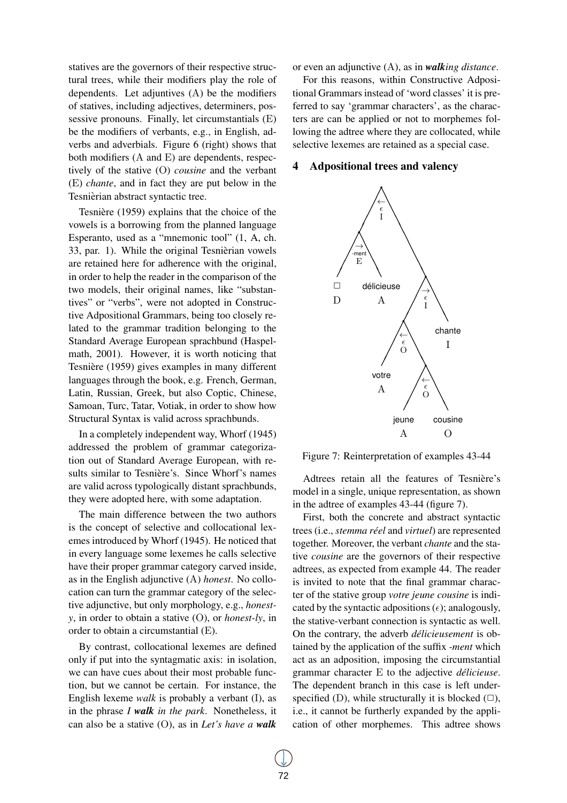statives are the governors of their respective structural trees, while their modifiers play the role of dependents. Let adjuntives (A) be the modifiers of statives, including adjectives, determiners, possessive pronouns. Finally, let circumstantials (E) be the modifiers of verbants, e.g., in English, adverbs and adverbials. Figure 6 (right) shows that both modifiers (A and E) are dependents, respectively of the stative (O) *cousine* and the verbant (E) *chante*, and in fact they are put below in the Tesnièrian abstract syntactic tree.

Tesnière (1959) explains that the choice of the vowels is a borrowing from the planned language Esperanto, used as a "mnemonic tool" (1, A, ch. 33, par. 1). While the original Tesnierian vowels are retained here for adherence with the original, in order to help the reader in the comparison of the two models, their original names, like "substantives" or "verbs", were not adopted in Constructive Adpositional Grammars, being too closely related to the grammar tradition belonging to the Standard Average European sprachbund (Haspelmath, 2001). However, it is worth noticing that Tesnière (1959) gives examples in many different languages through the book, e.g. French, German, Latin, Russian, Greek, but also Coptic, Chinese, Samoan, Turc, Tatar, Votiak, in order to show how Structural Syntax is valid across sprachbunds.

In a completely independent way, Whorf (1945) addressed the problem of grammar categorization out of Standard Average European, with results similar to Tesnière's. Since Whorf's names are valid across typologically distant sprachbunds, they were adopted here, with some adaptation.

The main difference between the two authors is the concept of selective and collocational lexemes introduced by Whorf (1945). He noticed that in every language some lexemes he calls selective have their proper grammar category carved inside, as in the English adjunctive (A) *honest*. No collocation can turn the grammar category of the selective adjunctive, but only morphology, e.g., *honesty*, in order to obtain a stative (O), or *honest-ly*, in order to obtain a circumstantial (E).

By contrast, collocational lexemes are defined only if put into the syntagmatic axis: in isolation, we can have cues about their most probable function, but we cannot be certain. For instance, the English lexeme *walk* is probably a verbant (I), as in the phrase *I walk in the park*. Nonetheless, it can also be a stative (O), as in *Let's have a walk* or even an adjunctive (A), as in *walking distance*.

For this reasons, within Constructive Adpositional Grammars instead of 'word classes' it is preferred to say 'grammar characters', as the characters are can be applied or not to morphemes following the adtree where they are collocated, while selective lexemes are retained as a special case.

### 4 Adpositional trees and valency



Figure 7: Reinterpretation of examples 43-44

Adtrees retain all the features of Tesnière's model in a single, unique representation, as shown in the adtree of examples 43-44 (figure 7).

First, both the concrete and abstract syntactic trees (*i.e., stemma réel* and *virtuel*) are represented together. Moreover, the verbant *chante* and the stative *cousine* are the governors of their respective adtrees, as expected from example 44. The reader is invited to note that the final grammar character of the stative group *votre jeune cousine* is indicated by the syntactic adpositions  $(\epsilon)$ ; analogously, the stative-verbant connection is syntactic as well. On the contrary, the adverb *délicieusement* is obtained by the application of the suffix *-ment* which act as an adposition, imposing the circumstantial grammar character E to the adjective *delicieuse ´* . The dependent branch in this case is left underspecified (D), while structurally it is blocked  $(\Box)$ , i.e., it cannot be furtherly expanded by the application of other morphemes. This adtree shows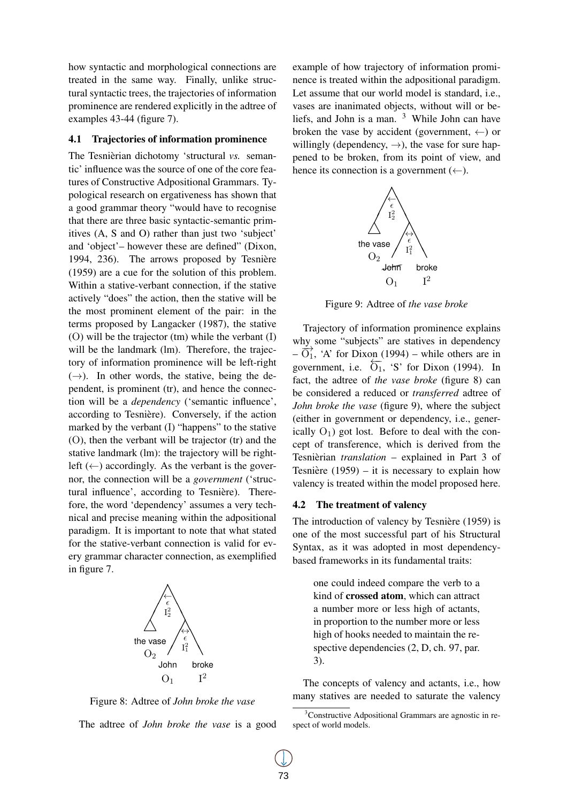how syntactic and morphological connections are treated in the same way. Finally, unlike structural syntactic trees, the trajectories of information prominence are rendered explicitly in the adtree of examples 43-44 (figure 7).

### 4.1 Trajectories of information prominence

The Tesnièrian dichotomy 'structural vs. semantic' influence was the source of one of the core features of Constructive Adpositional Grammars. Typological research on ergativeness has shown that a good grammar theory "would have to recognise that there are three basic syntactic-semantic primitives (A, S and O) rather than just two 'subject' and 'object'– however these are defined" (Dixon, 1994, 236). The arrows proposed by Tesnière (1959) are a cue for the solution of this problem. Within a stative-verbant connection, if the stative actively "does" the action, then the stative will be the most prominent element of the pair: in the terms proposed by Langacker (1987), the stative (O) will be the trajector (tm) while the verbant (I) will be the landmark (lm). Therefore, the trajectory of information prominence will be left-right  $(\rightarrow)$ . In other words, the stative, being the dependent, is prominent (tr), and hence the connection will be a *dependency* ('semantic influence', according to Tesnière). Conversely, if the action marked by the verbant (I) "happens" to the stative (O), then the verbant will be trajector (tr) and the stative landmark (lm): the trajectory will be rightleft  $(\leftarrow)$  accordingly. As the verbant is the governor, the connection will be a *government* ('structural influence', according to Tesnière). Therefore, the word 'dependency' assumes a very technical and precise meaning within the adpositional paradigm. It is important to note that what stated for the stative-verbant connection is valid for every grammar character connection, as exemplified in figure 7.



Figure 8: Adtree of *John broke the vase*

The adtree of *John broke the vase* is a good

example of how trajectory of information prominence is treated within the adpositional paradigm. Let assume that our world model is standard, i.e., vases are inanimated objects, without will or beliefs, and John is a man.  $3$  While John can have broken the vase by accident (government,  $\leftarrow$ ) or willingly (dependency,  $\rightarrow$ ), the vase for sure happened to be broken, from its point of view, and hence its connection is a government  $($ ←).



Figure 9: Adtree of *the vase broke*

Trajectory of information prominence explains why some "subjects" are statives in dependency  $-\overline{O_1}$ , 'A' for Dixon (1994) – while others are in government, i.e.  $\overline{O_1}$ , 'S' for Dixon (1994). In fact, the adtree of *the vase broke* (figure 8) can be considered a reduced or *transferred* adtree of *John broke the vase* (figure 9), where the subject (either in government or dependency, i.e., generically  $O_1$ ) got lost. Before to deal with the concept of transference, which is derived from the Tesnierian *translation* – explained in Part 3 of Tesnière  $(1959)$  – it is necessary to explain how valency is treated within the model proposed here.

### 4.2 The treatment of valency

The introduction of valency by Tesnière (1959) is one of the most successful part of his Structural Syntax, as it was adopted in most dependencybased frameworks in its fundamental traits:

one could indeed compare the verb to a kind of crossed atom, which can attract a number more or less high of actants, in proportion to the number more or less high of hooks needed to maintain the respective dependencies (2, D, ch. 97, par. 3).

The concepts of valency and actants, i.e., how many statives are needed to saturate the valency

<sup>&</sup>lt;sup>3</sup>Constructive Adpositional Grammars are agnostic in respect of world models.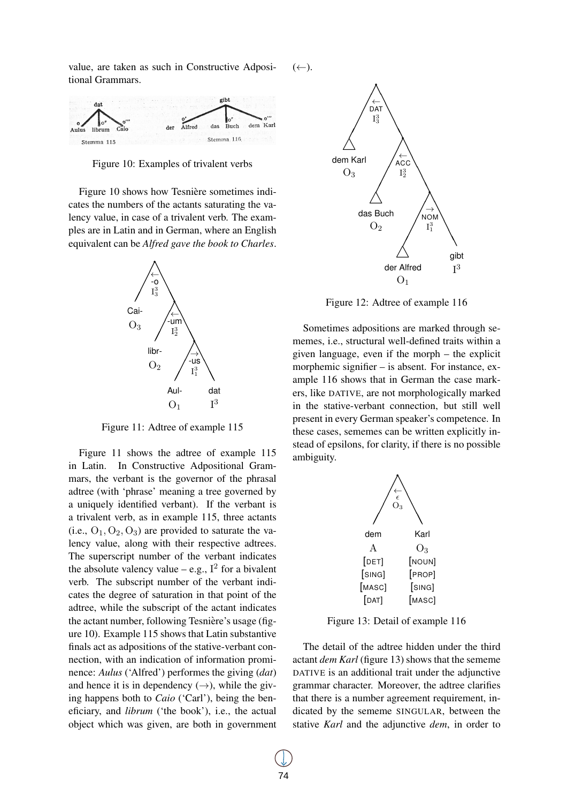value, are taken as such in Constructive Adpositional Grammars.



Figure 10: Examples of trivalent verbs

Figure 10 shows how Tesnière sometimes indicates the numbers of the actants saturating the valency value, in case of a trivalent verb. The examples are in Latin and in German, where an English equivalent can be *Alfred gave the book to Charles*.



Figure 11: Adtree of example 115

Figure 11 shows the adtree of example 115 in Latin. In Constructive Adpositional Grammars, the verbant is the governor of the phrasal adtree (with 'phrase' meaning a tree governed by a uniquely identified verbant). If the verbant is a trivalent verb, as in example 115, three actants (i.e.,  $O_1$ ,  $O_2$ ,  $O_3$ ) are provided to saturate the valency value, along with their respective adtrees. The superscript number of the verbant indicates the absolute valency value  $-$  e.g.,  $I^2$  for a bivalent verb. The subscript number of the verbant indicates the degree of saturation in that point of the adtree, while the subscript of the actant indicates the actant number, following Tesnière's usage (figure 10). Example 115 shows that Latin substantive finals act as adpositions of the stative-verbant connection, with an indication of information prominence: *Aulus* ('Alfred') performes the giving (*dat*) and hence it is in dependency  $(\rightarrow)$ , while the giving happens both to *Caio* ('Carl'), being the beneficiary, and *librum* ('the book'), i.e., the actual object which was given, are both in government





Figure 12: Adtree of example 116

Sometimes adpositions are marked through sememes, i.e., structural well-defined traits within a given language, even if the morph – the explicit morphemic signifier – is absent. For instance, example 116 shows that in German the case markers, like DATIVE, are not morphologically marked in the stative-verbant connection, but still well present in every German speaker's competence. In these cases, sememes can be written explicitly instead of epsilons, for clarity, if there is no possible ambiguity.



Figure 13: Detail of example 116

The detail of the adtree hidden under the third actant *dem Karl* (figure 13) shows that the sememe DATIVE is an additional trait under the adjunctive grammar character. Moreover, the adtree clarifies that there is a number agreement requirement, indicated by the sememe SINGULAR, between the stative *Karl* and the adjunctive *dem*, in order to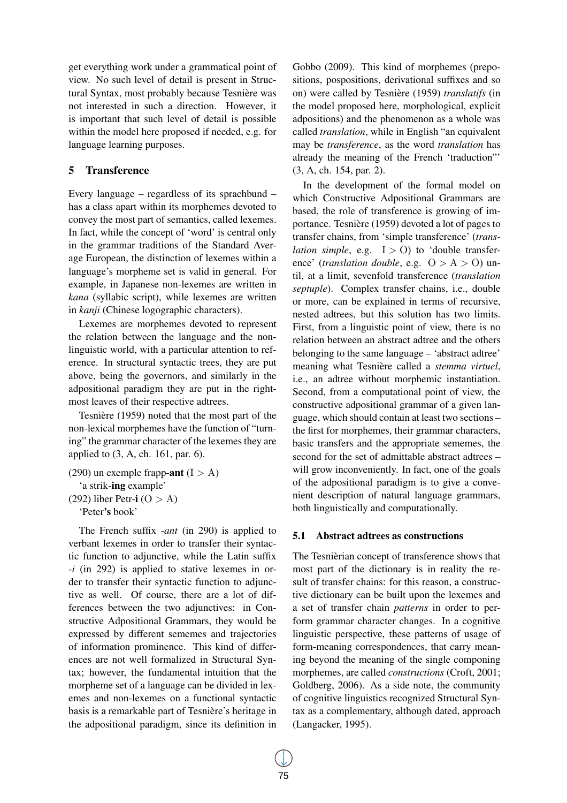get everything work under a grammatical point of view. No such level of detail is present in Structural Syntax, most probably because Tesnière was not interested in such a direction. However, it is important that such level of detail is possible within the model here proposed if needed, e.g. for language learning purposes.

# 5 Transference

Every language – regardless of its sprachbund – has a class apart within its morphemes devoted to convey the most part of semantics, called lexemes. In fact, while the concept of 'word' is central only in the grammar traditions of the Standard Average European, the distinction of lexemes within a language's morpheme set is valid in general. For example, in Japanese non-lexemes are written in *kana* (syllabic script), while lexemes are written in *kanji* (Chinese logographic characters).

Lexemes are morphemes devoted to represent the relation between the language and the nonlinguistic world, with a particular attention to reference. In structural syntactic trees, they are put above, being the governors, and similarly in the adpositional paradigm they are put in the rightmost leaves of their respective adtrees.

Tesnière (1959) noted that the most part of the non-lexical morphemes have the function of "turning" the grammar character of the lexemes they are applied to (3, A, ch. 161, par. 6).

```
(290) un exemple frapp-ant (I > A)'a strik-ing example'
(292) liber Petr-i (O > A)
```
'Peter's book'

The French suffix *-ant* (in 290) is applied to verbant lexemes in order to transfer their syntactic function to adjunctive, while the Latin suffix *-i* (in 292) is applied to stative lexemes in order to transfer their syntactic function to adjunctive as well. Of course, there are a lot of differences between the two adjunctives: in Constructive Adpositional Grammars, they would be expressed by different sememes and trajectories of information prominence. This kind of differences are not well formalized in Structural Syntax; however, the fundamental intuition that the morpheme set of a language can be divided in lexemes and non-lexemes on a functional syntactic basis is a remarkable part of Tesniere's heritage in ` the adpositional paradigm, since its definition in

Gobbo (2009). This kind of morphemes (prepositions, pospositions, derivational suffixes and so on) were called by Tesnière (1959) *translatifs* (in the model proposed here, morphological, explicit adpositions) and the phenomenon as a whole was called *translation*, while in English "an equivalent may be *transference*, as the word *translation* has already the meaning of the French 'traduction"' (3, A, ch. 154, par. 2).

In the development of the formal model on which Constructive Adpositional Grammars are based, the role of transference is growing of importance. Tesnière (1959) devoted a lot of pages to transfer chains, from 'simple transference' (*translation simple*, e.g.  $I > 0$  to 'double transference' (*translation double*, e.g.  $O > A > O$ ) until, at a limit, sevenfold transference (*translation septuple*). Complex transfer chains, i.e., double or more, can be explained in terms of recursive, nested adtrees, but this solution has two limits. First, from a linguistic point of view, there is no relation between an abstract adtree and the others belonging to the same language – 'abstract adtree' meaning what Tesnière called a *stemma virtuel*, i.e., an adtree without morphemic instantiation. Second, from a computational point of view, the constructive adpositional grammar of a given language, which should contain at least two sections – the first for morphemes, their grammar characters, basic transfers and the appropriate sememes, the second for the set of admittable abstract adtrees – will grow inconveniently. In fact, one of the goals of the adpositional paradigm is to give a convenient description of natural language grammars, both linguistically and computationally.

### 5.1 Abstract adtrees as constructions

The Tesnièrian concept of transference shows that most part of the dictionary is in reality the result of transfer chains: for this reason, a constructive dictionary can be built upon the lexemes and a set of transfer chain *patterns* in order to perform grammar character changes. In a cognitive linguistic perspective, these patterns of usage of form-meaning correspondences, that carry meaning beyond the meaning of the single componing morphemes, are called *constructions* (Croft, 2001; Goldberg, 2006). As a side note, the community of cognitive linguistics recognized Structural Syntax as a complementary, although dated, approach (Langacker, 1995).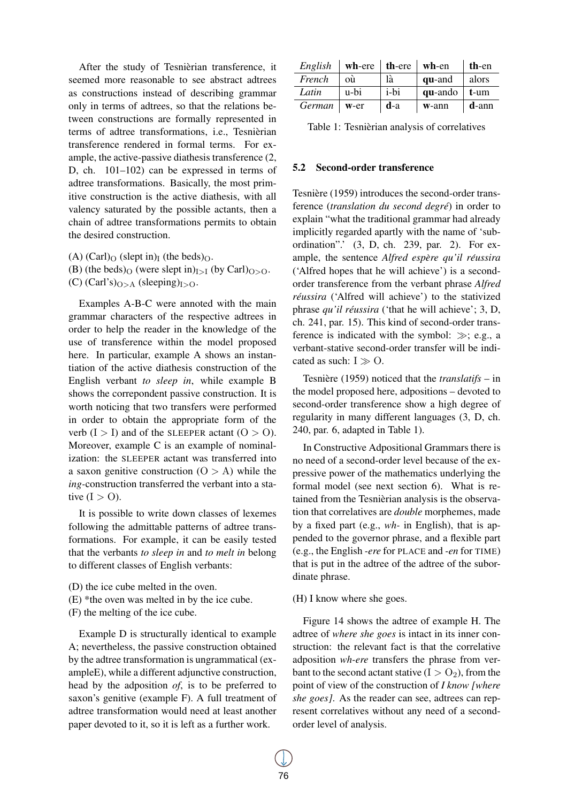After the study of Tesnièrian transference, it seemed more reasonable to see abstract adtrees as constructions instead of describing grammar only in terms of adtrees, so that the relations between constructions are formally represented in terms of adtree transformations, i.e., Tesnièrian transference rendered in formal terms. For example, the active-passive diathesis transference (2, D, ch. 101–102) can be expressed in terms of adtree transformations. Basically, the most primitive construction is the active diathesis, with all valency saturated by the possible actants, then a chain of adtree transformations permits to obtain the desired construction.

- (A) (Carl)<sub>O</sub> (slept in)<sub>I</sub> (the beds)<sub>O</sub>.
- (B) (the beds)<sup>O</sup> (were slept in)<sub>I>I</sub> (by Carl)<sup>O</sup>>O.
- (C)  $(Carl's)_{O>A}$  (sleeping)<sub>I>O</sub>.

Examples A-B-C were annoted with the main grammar characters of the respective adtrees in order to help the reader in the knowledge of the use of transference within the model proposed here. In particular, example A shows an instantiation of the active diathesis construction of the English verbant *to sleep in*, while example B shows the correpondent passive construction. It is worth noticing that two transfers were performed in order to obtain the appropriate form of the verb  $(I > I)$  and of the SLEEPER actant  $(O > O)$ . Moreover, example C is an example of nominalization: the SLEEPER actant was transferred into a saxon genitive construction  $(O > A)$  while the *ing-*construction transferred the verbant into a stative  $(I > 0)$ .

It is possible to write down classes of lexemes following the admittable patterns of adtree transformations. For example, it can be easily tested that the verbants *to sleep in* and *to melt in* belong to different classes of English verbants:

- (D) the ice cube melted in the oven.
- (E) \*the oven was melted in by the ice cube.
- (F) the melting of the ice cube.

Example D is structurally identical to example A; nevertheless, the passive construction obtained by the adtree transformation is ungrammatical (exampleE), while a different adjunctive construction, head by the adposition *of*, is to be preferred to saxon's genitive (example F). A full treatment of adtree transformation would need at least another paper devoted to it, so it is left as a further work.

| <i>English</i>   wh-ere   th-ere   wh-en |      |              |                  | th-en    |
|------------------------------------------|------|--------------|------------------|----------|
| French                                   | où   | 1à           | qu-and           | alors    |
| Latin                                    | u-bi | <i>i</i> -bi | qu-ando $ $ t-um |          |
| German                                   | w-er | $d-a$        | w-ann            | $d$ -ann |

Table 1: Tesnièrian analysis of correlatives

#### 5.2 Second-order transference

Tesnière (1959) introduces the second-order transference (*translation du second degre´*) in order to explain "what the traditional grammar had already implicitly regarded apartly with the name of 'subordination".' (3, D, ch. 239, par. 2). For example, the sentence *Alfred espère qu'il réussira* ('Alfred hopes that he will achieve') is a secondorder transference from the verbant phrase *Alfred reussira ´* ('Alfred will achieve') to the stativized phrase *qu'il réussira* ('that he will achieve'; 3, D, ch. 241, par. 15). This kind of second-order transference is indicated with the symbol:  $\gg$ ; e.g., a verbant-stative second-order transfer will be indicated as such:  $I \gg O$ .

Tesnière (1959) noticed that the *translatifs* – in the model proposed here, adpositions – devoted to second-order transference show a high degree of regularity in many different languages (3, D, ch. 240, par. 6, adapted in Table 1).

In Constructive Adpositional Grammars there is no need of a second-order level because of the expressive power of the mathematics underlying the formal model (see next section 6). What is retained from the Tesnièrian analysis is the observation that correlatives are *double* morphemes, made by a fixed part (e.g., *wh-* in English), that is appended to the governor phrase, and a flexible part (e.g., the English *-ere* for PLACE and *-en* for TIME) that is put in the adtree of the adtree of the subordinate phrase.

#### (H) I know where she goes.

Figure 14 shows the adtree of example H. The adtree of *where she goes* is intact in its inner construction: the relevant fact is that the correlative adposition *wh-ere* transfers the phrase from verbant to the second actant stative  $(I > O_2)$ , from the point of view of the construction of *I know [where she goes]*. As the reader can see, adtrees can represent correlatives without any need of a secondorder level of analysis.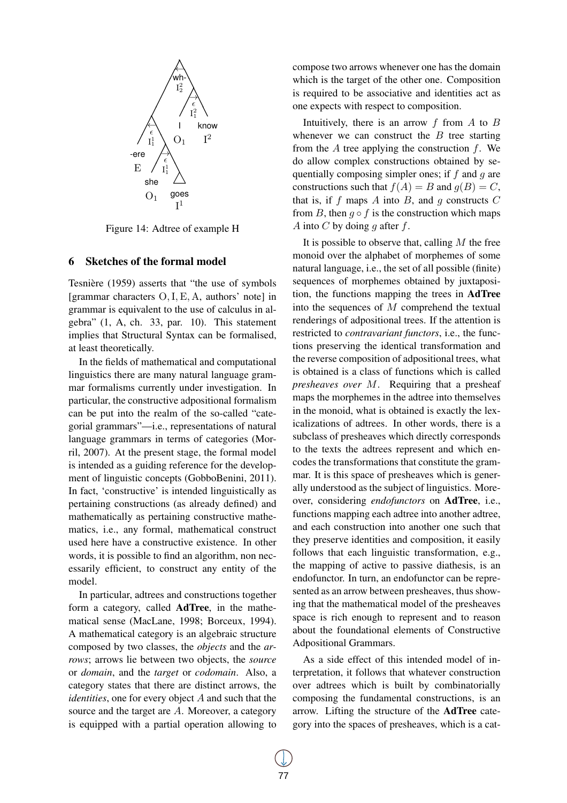

Figure 14: Adtree of example H

#### 6 Sketches of the formal model

Tesnière (1959) asserts that "the use of symbols [grammar characters O,I,E, A, authors' note] in grammar is equivalent to the use of calculus in algebra" (1, A, ch. 33, par. 10). This statement implies that Structural Syntax can be formalised, at least theoretically.

In the fields of mathematical and computational linguistics there are many natural language grammar formalisms currently under investigation. In particular, the constructive adpositional formalism can be put into the realm of the so-called "categorial grammars"—i.e., representations of natural language grammars in terms of categories (Morril, 2007). At the present stage, the formal model is intended as a guiding reference for the development of linguistic concepts (GobboBenini, 2011). In fact, 'constructive' is intended linguistically as pertaining constructions (as already defined) and mathematically as pertaining constructive mathematics, i.e., any formal, mathematical construct used here have a constructive existence. In other words, it is possible to find an algorithm, non necessarily efficient, to construct any entity of the model.

In particular, adtrees and constructions together form a category, called AdTree, in the mathematical sense (MacLane, 1998; Borceux, 1994). A mathematical category is an algebraic structure composed by two classes, the *objects* and the *arrows*; arrows lie between two objects, the *source* or *domain*, and the *target* or *codomain*. Also, a category states that there are distinct arrows, the *identities*, one for every object A and such that the source and the target are A. Moreover, a category is equipped with a partial operation allowing to

compose two arrows whenever one has the domain which is the target of the other one. Composition is required to be associative and identities act as one expects with respect to composition.

Intuitively, there is an arrow  $f$  from  $A$  to  $B$ whenever we can construct the  $B$  tree starting from the  $A$  tree applying the construction  $f$ . We do allow complex constructions obtained by sequentially composing simpler ones; if  $f$  and  $q$  are constructions such that  $f(A) = B$  and  $g(B) = C$ , that is, if  $f$  maps  $A$  into  $B$ , and  $g$  constructs  $C$ from B, then  $g \circ f$  is the construction which maps A into C by doing g after f.

It is possible to observe that, calling  $M$  the free monoid over the alphabet of morphemes of some natural language, i.e., the set of all possible (finite) sequences of morphemes obtained by juxtaposition, the functions mapping the trees in AdTree into the sequences of M comprehend the textual renderings of adpositional trees. If the attention is restricted to *contravariant functors*, i.e., the functions preserving the identical transformation and the reverse composition of adpositional trees, what is obtained is a class of functions which is called *presheaves over* M. Requiring that a presheaf maps the morphemes in the adtree into themselves in the monoid, what is obtained is exactly the lexicalizations of adtrees. In other words, there is a subclass of presheaves which directly corresponds to the texts the adtrees represent and which encodes the transformations that constitute the grammar. It is this space of presheaves which is generally understood as the subject of linguistics. Moreover, considering *endofunctors* on AdTree, i.e., functions mapping each adtree into another adtree, and each construction into another one such that they preserve identities and composition, it easily follows that each linguistic transformation, e.g., the mapping of active to passive diathesis, is an endofunctor. In turn, an endofunctor can be represented as an arrow between presheaves, thus showing that the mathematical model of the presheaves space is rich enough to represent and to reason about the foundational elements of Constructive Adpositional Grammars.

As a side effect of this intended model of interpretation, it follows that whatever construction over adtrees which is built by combinatorially composing the fundamental constructions, is an arrow. Lifting the structure of the AdTree category into the spaces of presheaves, which is a cat